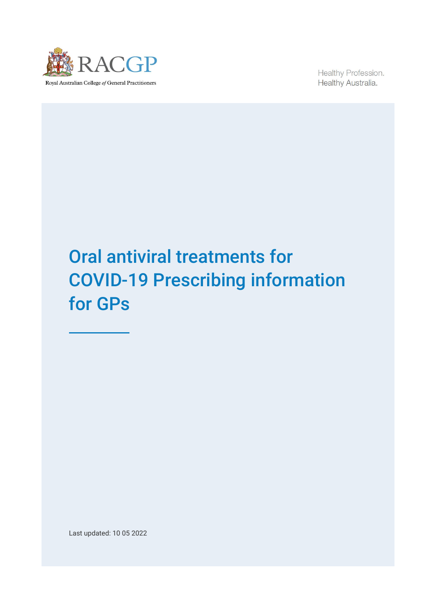

Healthy Profession. Healthy Australia.

# Oral antiviral treatments for COVID-19 Prescribing information for GPs

Last updated: 10 05 2022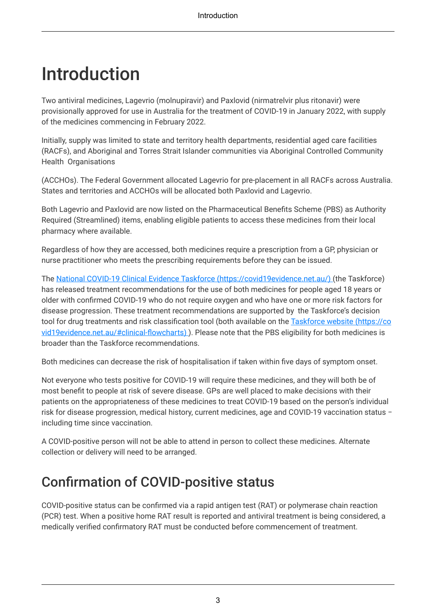# <span id="page-2-0"></span>Introduction

Two antiviral medicines, Lagevrio (molnupiravir) and Paxlovid (nirmatrelvir plus ritonavir) were provisionally approved for use in Australia for the treatment of COVID-19 in January 2022, with supply of the medicines commencing in February 2022.

Initially, supply was limited to state and territory health departments, residential aged care facilities (RACFs), and Aboriginal and Torres Strait Islander communities via Aboriginal Controlled Community Health Organisations

(ACCHOs). The Federal Government allocated Lagevrio for pre-placement in all RACFs across Australia. States and territories and ACCHOs will be allocated both Paxlovid and Lagevrio.

Both Lagevrio and Paxlovid are now listed on the Pharmaceutical Benefits Scheme (PBS) as Authority Required (Streamlined) items, enabling eligible patients to access these medicines from their local pharmacy where available.

Regardless of how they are accessed, both medicines require a prescription from a GP, physician or nurse practitioner who meets the prescribing requirements before they can be issued.

The [National COVID-19 Clinical Evidence Taskforce](https://covid19evidence.net.au/) (https://covid19evidence.net.au/) (the Taskforce) has released treatment recommendations for the use of both medicines for people aged 18 years or older with confirmed COVID-19 who do not require oxygen and who have one or more risk factors for disease progression. These treatment recommendations are supported by the Taskforce's decision tool for drug treatments and risk classification tool (both available on the [Taskforce website](https://covid19evidence.net.au/#clinical-flowcharts) (https://co [vid19evidence.net.au/#clinical-flowcharts\)](https://covid19evidence.net.au/#clinical-flowcharts) ). Please note that the PBS eligibility for both medicines is broader than the Taskforce recommendations.

Both medicines can decrease the risk of hospitalisation if taken within five days of symptom onset.

Not everyone who tests positive for COVID-19 will require these medicines, and they will both be of most benefit to people at risk of severe disease. GPs are well placed to make decisions with their patients on the appropriateness of these medicines to treat COVID-19 based on the person's individual risk for disease progression, medical history, current medicines, age and COVID-19 vaccination status − including time since vaccination.

A COVID-positive person will not be able to attend in person to collect these medicines. Alternate collection or delivery will need to be arranged.

# Confirmation of COVID-positive status

COVID-positive status can be confirmed via a rapid antigen test (RAT) or polymerase chain reaction (PCR) test. When a positive home RAT result is reported and antiviral treatment is being considered, a medically verified confirmatory RAT must be conducted before commencement of treatment.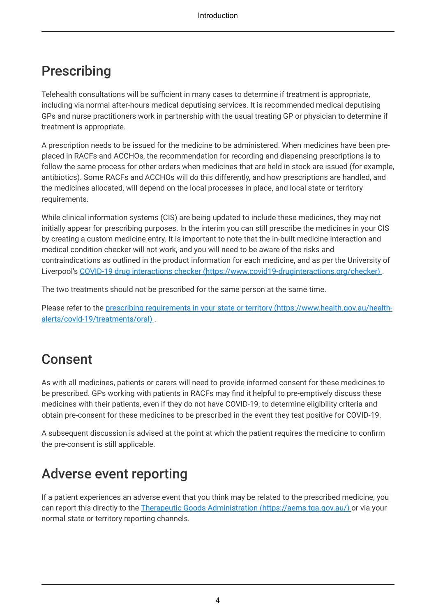### Prescribing

Telehealth consultations will be sufficient in many cases to determine if treatment is appropriate, including via normal after-hours medical deputising services. It is recommended medical deputising GPs and nurse practitioners work in partnership with the usual treating GP or physician to determine if treatment is appropriate.

A prescription needs to be issued for the medicine to be administered. When medicines have been preplaced in RACFs and ACCHOs, the recommendation for recording and dispensing prescriptions is to follow the same process for other orders when medicines that are held in stock are issued (for example, antibiotics). Some RACFs and ACCHOs will do this differently, and how prescriptions are handled, and the medicines allocated, will depend on the local processes in place, and local state or territory requirements.

While clinical information systems (CIS) are being updated to include these medicines, they may not initially appear for prescribing purposes. In the interim you can still prescribe the medicines in your CIS by creating a custom medicine entry. It is important to note that the in-built medicine interaction and medical condition checker will not work, and you will need to be aware of the risks and contraindications as outlined in the product information for each medicine, and as per the University of Liverpool's COVID-19 drug interactions checker [\(https://www.covid19-druginteractions.org/checker\)](https://www.covid19-druginteractions.org/checker) .

The two treatments should not be prescribed for the same person at the same time.

Please refer to the [prescribing requirements in your state or territory](https://www.health.gov.au/health-alerts/covid-19/treatments/oral) (https://www.health.gov.au/health[alerts/covid-19/treatments/oral\)](https://www.health.gov.au/health-alerts/covid-19/treatments/oral) .

# Consent

As with all medicines, patients or carers will need to provide informed consent for these medicines to be prescribed. GPs working with patients in RACFs may find it helpful to pre-emptively discuss these medicines with their patients, even if they do not have COVID-19, to determine eligibility criteria and obtain pre-consent for these medicines to be prescribed in the event they test positive for COVID-19.

A subsequent discussion is advised at the point at which the patient requires the medicine to confirm the pre-consent is still applicable.

# Adverse event reporting

If a patient experiences an adverse event that you think may be related to the prescribed medicine, you can report this directly to the [Therapeutic Goods Administration](https://aems.tga.gov.au/) (https://aems.tga.gov.au/) or via your normal state or territory reporting channels.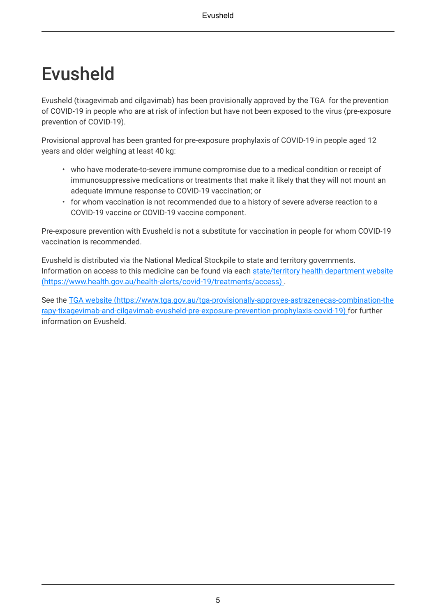# <span id="page-4-0"></span>Evusheld

Evusheld (tixagevimab and cilgavimab) has been provisionally approved by the TGA for the prevention of COVID-19 in people who are at risk of infection but have not been exposed to the virus (pre-exposure prevention of COVID-19).

Provisional approval has been granted for pre-exposure prophylaxis of COVID-19 in people aged 12 years and older weighing at least 40 kg:

- who have moderate-to-severe immune compromise due to a medical condition or receipt of immunosuppressive medications or treatments that make it likely that they will not mount an adequate immune response to COVID-19 vaccination; or
- for whom vaccination is not recommended due to a history of severe adverse reaction to a COVID‐19 vaccine or COVID‐19 vaccine component.

Pre-exposure prevention with Evusheld is not a substitute for vaccination in people for whom COVID-19 vaccination is recommended.

Evusheld is distributed via the National Medical Stockpile to state and territory governments. Information on access to this medicine can be found via each [state/territory health department website](https://www.health.gov.au/health-alerts/covid-19/treatments/access) [\(https://www.health.gov.au/health-alerts/covid-19/treatments/access\)](https://www.health.gov.au/health-alerts/covid-19/treatments/access) .

See the TGA website [\(https://www.tga.gov.au/tga-provisionally-approves-astrazenecas-combination-the](https://www.tga.gov.au/tga-provisionally-approves-astrazenecas-combination-therapy-tixagevimab-and-cilgavimab-evusheld-pre-exposure-prevention-prophylaxis-covid-19) [rapy-tixagevimab-and-cilgavimab-evusheld-pre-exposure-prevention-prophylaxis-covid-19\)](https://www.tga.gov.au/tga-provisionally-approves-astrazenecas-combination-therapy-tixagevimab-and-cilgavimab-evusheld-pre-exposure-prevention-prophylaxis-covid-19) for further information on Evusheld.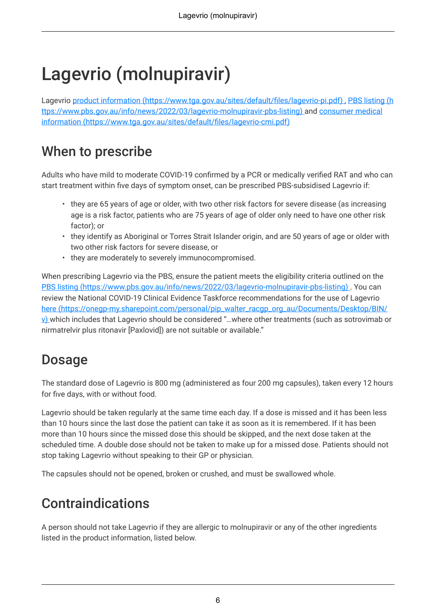# <span id="page-5-0"></span>Lagevrio (molnupiravir)

Lagevrio product information [\(https://www.tga.gov.au/sites/default/files/lagevrio-pi.pdf\)](https://www.tga.gov.au/sites/default/files/lagevrio-pi.pdf) , [PBS listing](https://www.pbs.gov.au/info/news/2022/03/lagevrio-molnupiravir-pbs-listing) (h [ttps://www.pbs.gov.au/info/news/2022/03/lagevrio-molnupiravir-pbs-listing\)](https://www.pbs.gov.au/info/news/2022/03/lagevrio-molnupiravir-pbs-listing) and [consumer medical](https://www.tga.gov.au/sites/default/files/lagevrio-cmi.pdf) information [\(https://www.tga.gov.au/sites/default/files/lagevrio-cmi.pdf\)](https://www.tga.gov.au/sites/default/files/lagevrio-cmi.pdf)

# When to prescribe

Adults who have mild to moderate COVID-19 confirmed by a PCR or medically verified RAT and who can start treatment within five days of symptom onset, can be prescribed PBS-subsidised Lagevrio if:

- they are 65 years of age or older, with two other risk factors for severe disease (as increasing age is a risk factor, patients who are 75 years of age of older only need to have one other risk factor); or
- they identify as Aboriginal or Torres Strait Islander origin, and are 50 years of age or older with two other risk factors for severe disease, or
- they are moderately to severely immunocompromised.

When prescribing Lagevrio via the PBS, ensure the patient meets the eligibility criteria outlined on the PBS listing [\(https://www.pbs.gov.au/info/news/2022/03/lagevrio-molnupiravir-pbs-listing\)](https://www.pbs.gov.au/info/news/2022/03/lagevrio-molnupiravir-pbs-listing) . You can review the National COVID-19 Clinical Evidence Taskforce recommendations for the use of Lagevrio here [\(https://onegp-my.sharepoint.com/personal/pip\\_walter\\_racgp\\_org\\_au/Documents/Desktop/BIN/](https://onegp-my.sharepoint.com/personal/pip_walter_racgp_org_au/Documents/Desktop/BIN/v) [v\)](https://onegp-my.sharepoint.com/personal/pip_walter_racgp_org_au/Documents/Desktop/BIN/v) which includes that Lagevrio should be considered "…where other treatments (such as sotrovimab or nirmatrelvir plus ritonavir [Paxlovid]) are not suitable or available."

#### Dosage

The standard dose of Lagevrio is 800 mg (administered as four 200 mg capsules), taken every 12 hours for five days, with or without food.

Lagevrio should be taken regularly at the same time each day. If a dose is missed and it has been less than 10 hours since the last dose the patient can take it as soon as it is remembered. If it has been more than 10 hours since the missed dose this should be skipped, and the next dose taken at the scheduled time. A double dose should not be taken to make up for a missed dose. Patients should not stop taking Lagevrio without speaking to their GP or physician.

The capsules should not be opened, broken or crushed, and must be swallowed whole.

# Contraindications

A person should not take Lagevrio if they are allergic to molnupiravir or any of the other ingredients listed in the product information, listed below.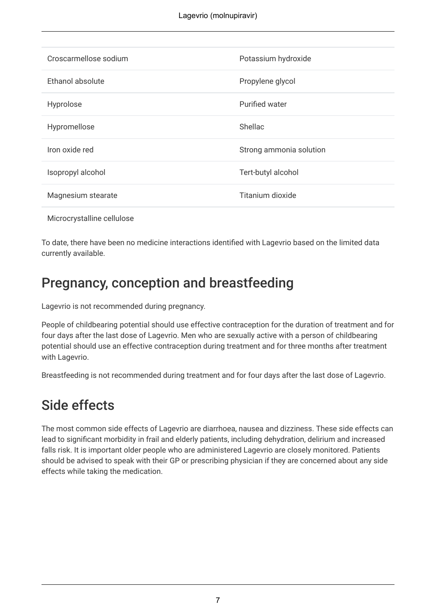| Croscarmellose sodium | Potassium hydroxide     |
|-----------------------|-------------------------|
| Ethanol absolute      | Propylene glycol        |
| Hyprolose             | <b>Purified water</b>   |
| Hypromellose          | <b>Shellac</b>          |
| Iron oxide red        | Strong ammonia solution |
| Isopropyl alcohol     | Tert-butyl alcohol      |
| Magnesium stearate    | Titanium dioxide        |
|                       |                         |

Microcrystalline cellulose

To date, there have been no medicine interactions identified with Lagevrio based on the limited data currently available.

### Pregnancy, conception and breastfeeding

Lagevrio is not recommended during pregnancy.

People of childbearing potential should use effective contraception for the duration of treatment and for four days after the last dose of Lagevrio. Men who are sexually active with a person of childbearing potential should use an effective contraception during treatment and for three months after treatment with Lagevrio.

Breastfeeding is not recommended during treatment and for four days after the last dose of Lagevrio.

#### Side effects

The most common side effects of Lagevrio are diarrhoea, nausea and dizziness. These side effects can lead to significant morbidity in frail and elderly patients, including dehydration, delirium and increased falls risk. It is important older people who are administered Lagevrio are closely monitored. Patients should be advised to speak with their GP or prescribing physician if they are concerned about any side effects while taking the medication.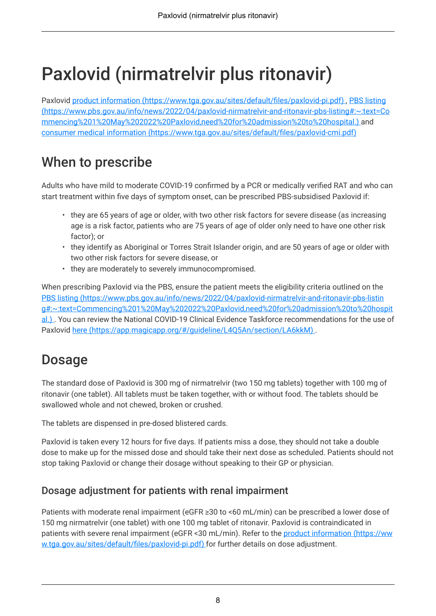# <span id="page-7-0"></span>Paxlovid (nirmatrelvir plus ritonavir)

Paxlovid product information [\(https://www.tga.gov.au/sites/default/files/paxlovid-pi.pdf\)](https://www.tga.gov.au/sites/default/files/paxlovid-pi.pdf) , [PBS listing](https://www.pbs.gov.au/info/news/2022/04/paxlovid-nirmatrelvir-and-ritonavir-pbs-listing#:~:text=Commencing%201%20May%202022%20Paxlovid,need%20for%20admission%20to%20hospital.) [\(https://www.pbs.gov.au/info/news/2022/04/paxlovid-nirmatrelvir-and-ritonavir-pbs-listing#:~:text=Co](https://www.pbs.gov.au/info/news/2022/04/paxlovid-nirmatrelvir-and-ritonavir-pbs-listing#:~:text=Commencing%201%20May%202022%20Paxlovid,need%20for%20admission%20to%20hospital.) [mmencing%201%20May%202022%20Paxlovid,need%20for%20admission%20to%20hospital.\)](https://www.pbs.gov.au/info/news/2022/04/paxlovid-nirmatrelvir-and-ritonavir-pbs-listing#:~:text=Commencing%201%20May%202022%20Paxlovid,need%20for%20admission%20to%20hospital.) and consumer medical information [\(https://www.tga.gov.au/sites/default/files/paxlovid-cmi.pdf\)](https://www.tga.gov.au/sites/default/files/paxlovid-cmi.pdf)

### When to prescribe

Adults who have mild to moderate COVID-19 confirmed by a PCR or medically verified RAT and who can start treatment within five days of symptom onset, can be prescribed PBS-subsidised Paxlovid if:

- they are 65 years of age or older, with two other risk factors for severe disease (as increasing age is a risk factor, patients who are 75 years of age of older only need to have one other risk factor); or
- they identify as Aboriginal or Torres Strait Islander origin, and are 50 years of age or older with two other risk factors for severe disease, or
- they are moderately to severely immunocompromised.

When prescribing Paxlovid via the PBS, ensure the patient meets the eligibility criteria outlined on the PBS listing [\(https://www.pbs.gov.au/info/news/2022/04/paxlovid-nirmatrelvir-and-ritonavir-pbs-listin](https://www.pbs.gov.au/info/news/2022/04/paxlovid-nirmatrelvir-and-ritonavir-pbs-listing#:~:text=Commencing%201%20May%202022%20Paxlovid,need%20for%20admission%20to%20hospital.) [g#:~:text=Commencing%201%20May%202022%20Paxlovid,need%20for%20admission%20to%20hospit](https://www.pbs.gov.au/info/news/2022/04/paxlovid-nirmatrelvir-and-ritonavir-pbs-listing#:~:text=Commencing%201%20May%202022%20Paxlovid,need%20for%20admission%20to%20hospital.) [al.\)](https://www.pbs.gov.au/info/news/2022/04/paxlovid-nirmatrelvir-and-ritonavir-pbs-listing#:~:text=Commencing%201%20May%202022%20Paxlovid,need%20for%20admission%20to%20hospital.) . You can review the National COVID-19 Clinical Evidence Taskforce recommendations for the use of Paxlovid here [\(https://app.magicapp.org/#/guideline/L4Q5An/section/LA6kkM\)](https://app.magicapp.org/#/guideline/L4Q5An/section/LA6kkM) .

# Dosage

The standard dose of Paxlovid is 300 mg of nirmatrelvir (two 150 mg tablets) together with 100 mg of ritonavir (one tablet). All tablets must be taken together, with or without food. The tablets should be swallowed whole and not chewed, broken or crushed.

The tablets are dispensed in pre-dosed blistered cards.

Paxlovid is taken every 12 hours for five days. If patients miss a dose, they should not take a double dose to make up for the missed dose and should take their next dose as scheduled. Patients should not stop taking Paxlovid or change their dosage without speaking to their GP or physician.

#### Dosage adjustment for patients with renal impairment

Patients with moderate renal impairment (eGFR ≥30 to <60 mL/min) can be prescribed a lower dose of 150 mg nirmatrelvir (one tablet) with one 100 mg tablet of ritonavir. Paxlovid is contraindicated in patients with severe renal impairment (eGFR <30 mL/min). Refer to the [product information](https://www.tga.gov.au/sites/default/files/paxlovid-pi.pdf) (https://ww [w.tga.gov.au/sites/default/files/paxlovid-pi.pdf\)](https://www.tga.gov.au/sites/default/files/paxlovid-pi.pdf) for further details on dose adjustment.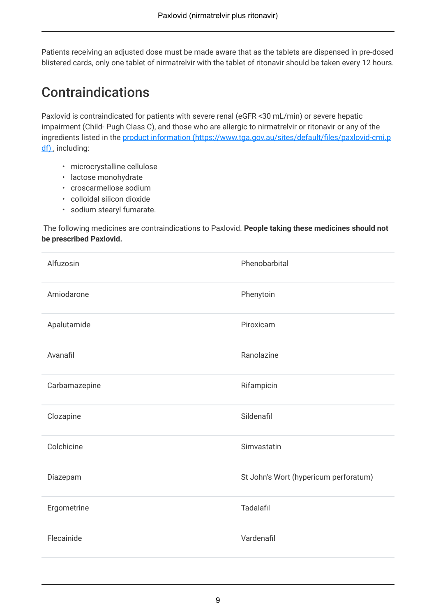Patients receiving an adjusted dose must be made aware that as the tablets are dispensed in pre-dosed blistered cards, only one tablet of nirmatrelvir with the tablet of ritonavir should be taken every 12 hours.

#### **Contraindications**

Paxlovid is contraindicated for patients with severe renal (eGFR <30 mL/min) or severe hepatic impairment (Child- Pugh Class C), and those who are allergic to nirmatrelvir or ritonavir or any of the ingredients listed in the product information [\(https://www.tga.gov.au/sites/default/files/paxlovid-cmi.p](https://www.tga.gov.au/sites/default/files/paxlovid-cmi.pdf) [df\)](https://www.tga.gov.au/sites/default/files/paxlovid-cmi.pdf), including:

- microcrystalline cellulose
- lactose monohydrate
- croscarmellose sodium
- colloidal silicon dioxide
- sodium stearyl fumarate.

The following medicines are contraindications to Paxlovid. **People taking these medicines should not be prescribed Paxlovid.**

| Alfuzosin     | Phenobarbital                         |
|---------------|---------------------------------------|
| Amiodarone    | Phenytoin                             |
| Apalutamide   | Piroxicam                             |
| Avanafil      | Ranolazine                            |
| Carbamazepine | Rifampicin                            |
| Clozapine     | Sildenafil                            |
| Colchicine    | Simvastatin                           |
| Diazepam      | St John's Wort (hypericum perforatum) |
| Ergometrine   | <b>Tadalafil</b>                      |
| Flecainide    | Vardenafil                            |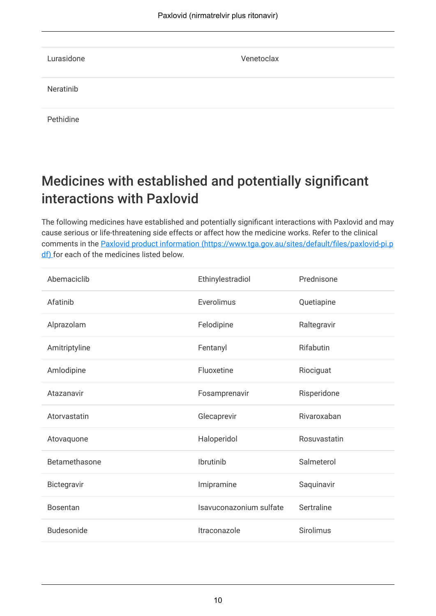| Lurasidone | Venetoclax |
|------------|------------|
| Neratinib  |            |
| Pethidine  |            |

# Medicines with established and potentially significant interactions with Paxlovid

The following medicines have established and potentially significant interactions with Paxlovid and may cause serious or life-threatening side effects or affect how the medicine works. Refer to the clinical comments in the Paxlovid product information [\(https://www.tga.gov.au/sites/default/files/paxlovid-pi.p](https://www.tga.gov.au/sites/default/files/paxlovid-pi.pdf) [df\)](https://www.tga.gov.au/sites/default/files/paxlovid-pi.pdf) for each of the medicines listed below.

| Abemaciclib       | Ethinylestradiol        | Prednisone       |
|-------------------|-------------------------|------------------|
| Afatinib          | Everolimus              | Quetiapine       |
| Alprazolam        | Felodipine              | Raltegravir      |
| Amitriptyline     | Fentanyl                | Rifabutin        |
| Amlodipine        | Fluoxetine              | Riociguat        |
| Atazanavir        | Fosamprenavir           | Risperidone      |
| Atorvastatin      | Glecaprevir             | Rivaroxaban      |
| Atovaquone        | Haloperidol             | Rosuvastatin     |
| Betamethasone     | Ibrutinib               | Salmeterol       |
| Bictegravir       | Imipramine              | Saquinavir       |
| <b>Bosentan</b>   | Isavuconazonium sulfate | Sertraline       |
| <b>Budesonide</b> | Itraconazole            | <b>Sirolimus</b> |